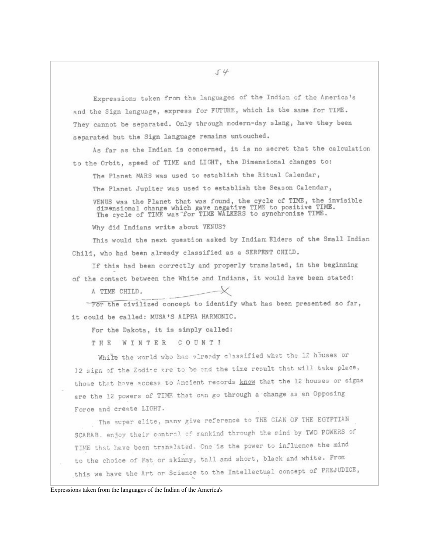$54$ 

Expressions taken from the languages of the Indian of the America's and the Sign language, express for FUTURE, which is the same for TIME. They cannot be separated. Only through modern-day slang, have they been separated but the Sign language remains untouched.

As far as the Indian is concerned, it is no secret that the calculation to the Orbit, speed of TIME and LIGHT, the Dimensional changes to:

The Planet MARS was used to establish the Ritual Calendar,

The Planet Jupiter was used to establish the Season Calendar,

VENUS was the Planet that was found, the cycle of TIME, the invisible dimensional change which gave negative TIME to positive TIME.<br>The cycle of TIME was for TIME WALKERS to synchronize TIME.

Why did Indians write about VENUS?

This would the next question asked by Indian Elders of the Small Indian Child, who had been already classified as a SERPENT CHILD.

If this had been correctly and properly translated, in the beginning

of the contact between the White and Indians, it would have been stated:

A TIME CHILD.

For the civilized concept to identify what has been presented so far, it could be called: MUSA'S ALPHA HARMONIC.

For the Dakota, it is simply called:

THE WINTER COUNTI

While the world who has already classified what the 12 houses or 12 sign of the Zoding are to be end the time result that will take place, those that have access to Ancient records know that the 12 houses or signs are the 12 powers of TIME that can go through a change as an Opposing Force and create LIGHT.

The super elite, many give reference to THE CLAN OF THE EGYPTIAN SCARAB. enjoy their control of mankind through the mind by TWO POWERS of TIME that have been translated. One is the power to influence the mind to the choice of Fat or skinny, tall and short, black and white. From this we have the Art or Science to the Intellectual concept of PREJUDICE,

Expressions taken from the languages of the Indian of the America's